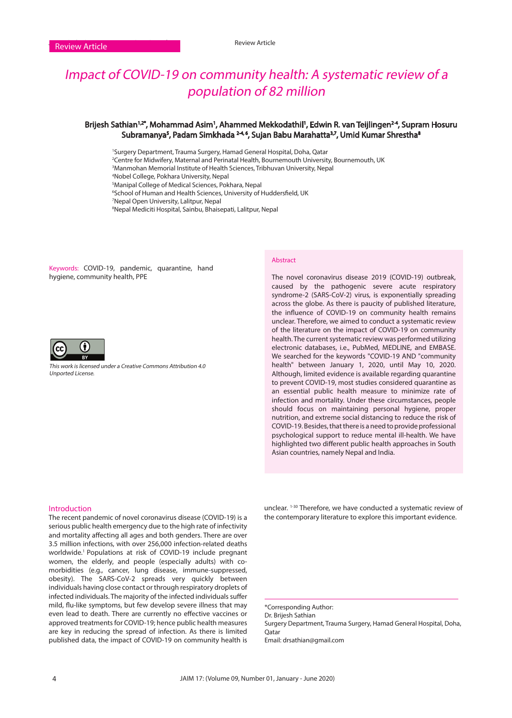# Impact of COVID-19 on community health: A systematic review of a population of 82 million

# Brijesh Sathian<sup>1,2</sup>°, Mohammad Asim<sup>1</sup>, Ahammed Mekkodathil<sup>1</sup>, Edwin R. van Teijlingen<sup>24</sup>, Supram Hosuru Subramanya<sup>5</sup>, Padam Simkhada <sup>24,6</sup>, Sujan Babu Marahatta<sup>3,7</sup>, Umid Kumar Shrestha<sup>8</sup>

 Surgery Department, Trauma Surgery, Hamad General Hospital, Doha, Qatar Centre for Midwifery, Maternal and Perinatal Health, Bournemouth University, Bournemouth, UK Manmohan Memorial Institute of Health Sciences, Tribhuvan University, Nepal Nobel College, Pokhara University, Nepal

5 Manipal College of Medical Sciences, Pokhara, Nepal

6 School of Human and Health Sciences, University of Huddersfield, UK

7 Nepal Open University, Lalitpur, Nepal

8 Nepal Mediciti Hospital, Sainbu, Bhaisepati, Lalitpur, Nepal

Keywords: COVID-19, pandemic, quarantine, hand hygiene, community health, PPE



This work is licensed under a Creative Commons Attribution 4.0 Unported License.

#### Abstract

The novel coronavirus disease 2019 (COVID-19) outbreak, caused by the pathogenic severe acute respiratory syndrome-2 (SARS-CoV-2) virus, is exponentially spreading across the globe. As there is paucity of published literature, the influence of COVID-19 on community health remains unclear. Therefore, we aimed to conduct a systematic review of the literature on the impact of COVID-19 on community health. The current systematic review was performed utilizing electronic databases, i.e., PubMed, MEDLINE, and EMBASE. We searched for the keywords "COVID-19 AND "community health" between January 1, 2020, until May 10, 2020. Although, limited evidence is available regarding quarantine to prevent COVID‐19, most studies considered quarantine as an essential public health measure to minimize rate of infection and mortality. Under these circumstances, people should focus on maintaining personal hygiene, proper nutrition, and extreme social distancing to reduce the risk of COVID-19. Besides, that there is a need to provide professional psychological support to reduce mental ill-health. We have highlighted two different public health approaches in South Asian countries, namely Nepal and India.

### Introduction

The recent pandemic of novel coronavirus disease (COVID-19) is a serious public health emergency due to the high rate of infectivity and mortality affecting all ages and both genders. There are over 3.5 million infections, with over 256,000 infection-related deaths worldwide.1 Populations at risk of COVID-19 include pregnant women, the elderly, and people (especially adults) with comorbidities (e.g., cancer, lung disease, immune-suppressed, obesity). The SARS-CoV-2 spreads very quickly between individuals having close contact or through respiratory droplets of infected individuals. The majority of the infected individuals suffer mild, flu-like symptoms, but few develop severe illness that may even lead to death. There are currently no effective vaccines or approved treatments for COVID-19; hence public health measures are key in reducing the spread of infection. As there is limited published data, the impact of COVID-19 on community health is

unclear. 1-30 Therefore, we have conducted a systematic review of the contemporary literature to explore this important evidence.

\*Corresponding Author: Dr. Brijesh Sathian Surgery Department, Trauma Surgery, Hamad General Hospital, Doha, **O**atar Email: drsathian@gmail.com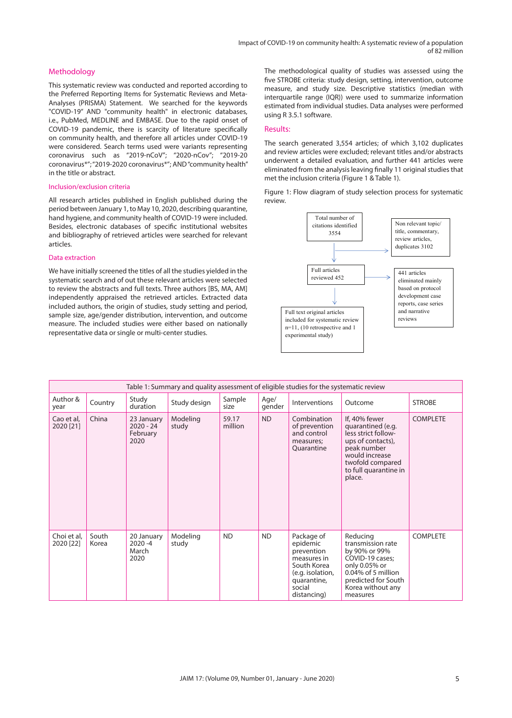# Methodology

This systematic review was conducted and reported according to the Preferred Reporting Items for Systematic Reviews and Meta-Analyses (PRISMA) Statement. We searched for the keywords "COVID-19" AND "community health" in electronic databases, i.e., PubMed, MEDLINE and EMBASE. Due to the rapid onset of COVID-19 pandemic, there is scarcity of literature specifically on community health, and therefore all articles under COVID-19 were considered. Search terms used were variants representing coronavirus such as "2019-nCoV"; "2020-nCov"; "2019-20 coronavirus\*"; "2019-2020 coronavirus\*"; AND "community health" in the title or abstract.

#### Inclusion/exclusion criteria

All research articles published in English published during the period between January 1, to May 10, 2020, describing quarantine, hand hygiene, and community health of COVID-19 were included. Besides, electronic databases of specific institutional websites and bibliography of retrieved articles were searched for relevant articles.

# Data extraction

We have initially screened the titles of all the studies yielded in the systematic search and of out these relevant articles were selected to review the abstracts and full texts. Three authors [BS, MA, AM] independently appraised the retrieved articles. Extracted data included authors, the origin of studies, study setting and period, sample size, age/gender distribution, intervention, and outcome measure. The included studies were either based on nationally representative data or single or multi-center studies.

The methodological quality of studies was assessed using the five STROBE criteria: study design, setting, intervention, outcome measure, and study size. Descriptive statistics (median with interquartile range (IQR)) were used to summarize information estimated from individual studies. Data analyses were performed using R 3.5.1 software.

#### Results:

The search generated 3,554 articles; of which 3,102 duplicates and review articles were excluded; relevant titles and/or abstracts underwent a detailed evaluation, and further 441 articles were eliminated from the analysis leaving finally 11 original studies that met the inclusion criteria (Figure 1 & Table 1).

Figure 1: Flow diagram of study selection process for systematic review.



| Table 1: Summary and quality assessment of eligible studies for the systematic review |                |                                               |                   |                  |                |                                                                                                                                |                                                                                                                                                                        |                 |  |
|---------------------------------------------------------------------------------------|----------------|-----------------------------------------------|-------------------|------------------|----------------|--------------------------------------------------------------------------------------------------------------------------------|------------------------------------------------------------------------------------------------------------------------------------------------------------------------|-----------------|--|
| Author &<br>year                                                                      | Country        | Study<br>duration                             | Study design      | Sample<br>size   | Age/<br>gender | Interventions                                                                                                                  | Outcome                                                                                                                                                                | <b>STROBE</b>   |  |
| Cao et al,<br>2020 [21]                                                               | China          | 23 January<br>$2020 - 24$<br>February<br>2020 | Modeling<br>study | 59.17<br>million | <b>ND</b>      | Combination<br>of prevention<br>and control<br>measures;<br>Quarantine                                                         | If, 40% fewer<br>quarantined (e.g.<br>less strict follow-<br>ups of contacts),<br>peak number<br>would increase<br>twofold compared<br>to full quarantine in<br>place. | <b>COMPLETE</b> |  |
| Choi et al,<br>2020 [22]                                                              | South<br>Korea | 20 January<br>$2020 - 4$<br>March<br>2020     | Modeling<br>study | <b>ND</b>        | <b>ND</b>      | Package of<br>epidemic<br>prevention<br>measures in<br>South Korea<br>(e.g. isolation,<br>quarantine,<br>social<br>distancing) | Reducing<br>transmission rate<br>by 90% or 99%<br>COVID-19 cases;<br>only 0.05% or<br>0.04% of 5 million<br>predicted for South<br>Korea without any<br>measures       | <b>COMPLETE</b> |  |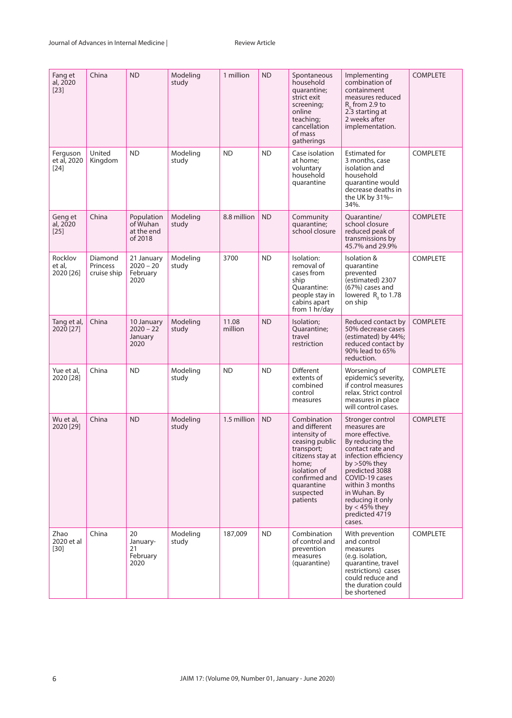| Fang et<br>al, 2020<br>$[23]$     | China                              | <b>ND</b>                                       | Modeling<br>study | 1 million        | <b>ND</b> | Spontaneous<br>household<br>quarantine;<br>strict exit<br>screening;<br>online<br>teaching;<br>cancellation<br>of mass<br>gatherings                                              | Implementing<br>combination of<br>containment<br>measures reduced<br>$R_0$ from 2.9 to<br>2.3 starting at<br>2 weeks after<br>implementation.                                                                                                                                   | <b>COMPLETE</b> |
|-----------------------------------|------------------------------------|-------------------------------------------------|-------------------|------------------|-----------|-----------------------------------------------------------------------------------------------------------------------------------------------------------------------------------|---------------------------------------------------------------------------------------------------------------------------------------------------------------------------------------------------------------------------------------------------------------------------------|-----------------|
| Ferguson<br>et al, 2020<br>$[24]$ | United<br>Kingdom                  | <b>ND</b>                                       | Modeling<br>study | <b>ND</b>        | <b>ND</b> | Case isolation<br>at home;<br>voluntary<br>household<br>quarantine                                                                                                                | <b>Estimated for</b><br>3 months, case<br>isolation and<br>household<br>quarantine would<br>decrease deaths in<br>the UK by 31%–<br>34%.                                                                                                                                        | <b>COMPLETE</b> |
| Geng et<br>al, 2020<br>$[25]$     | China                              | Population<br>of Wuhan<br>at the end<br>of 2018 | Modeling<br>study | 8.8 million      | <b>ND</b> | Community<br>quarantine;<br>school closure                                                                                                                                        | Quarantine/<br>school closure<br>reduced peak of<br>transmissions by<br>45.7% and 29.9%                                                                                                                                                                                         | <b>COMPLETE</b> |
| Rocklov<br>et al,<br>2020 [26]    | Diamond<br>Princess<br>cruise ship | 21 January<br>$2020 - 20$<br>February<br>2020   | Modeling<br>study | 3700             | <b>ND</b> | Isolation:<br>removal of<br>cases from<br>ship<br>Quarantine:<br>people stay in<br>cabins apart<br>from 1 hr/day                                                                  | Isolation &<br>quarantine<br>prevented<br>(estimated) 2307<br>(67%) cases and<br>lowered $R_0$ to 1.78<br>on ship                                                                                                                                                               | <b>COMPLETE</b> |
| Tang et al,<br>2020 [27]          | China                              | 10 January<br>$2020 - 22$<br>January<br>2020    | Modeling<br>study | 11.08<br>million | <b>ND</b> | Isolation;<br>Quarantine;<br>travel<br>restriction                                                                                                                                | Reduced contact by<br>50% decrease cases<br>(estimated) by 44%;<br>reduced contact by<br>90% lead to 65%<br>reduction.                                                                                                                                                          | <b>COMPLETE</b> |
| Yue et al,<br>2020 [28]           | China                              | <b>ND</b>                                       | Modeling<br>study | <b>ND</b>        | <b>ND</b> | <b>Different</b><br>extents of<br>combined<br>control<br>measures                                                                                                                 | Worsening of<br>epidemic's severity,<br>if control measures<br>relax. Strict control<br>measures in place<br>will control cases.                                                                                                                                                | <b>COMPLETE</b> |
| Wu et al,<br>2020 [29]            | China                              | <b>ND</b>                                       | Modeling<br>study | 1.5 million      | <b>ND</b> | Combination<br>and different<br>intensity of<br>ceasing public<br>transport;<br>citizens stay at<br>home:<br>isolation of<br>confirmed and<br>quarantine<br>suspected<br>patients | Stronger control<br>measures are<br>more effective.<br>By reducing the<br>contact rate and<br>infection efficiency<br>by $>50\%$ they<br>predicted 3088<br>COVID-19 cases<br>within 3 months<br>in Wuhan. By<br>reducing it only<br>by $<$ 45% they<br>predicted 4719<br>cases. | <b>COMPLETE</b> |
| Zhao<br>2020 et al<br>$[30]$      | China                              | 20<br>January-<br>21<br>February<br>2020        | Modeling<br>study | 187,009          | <b>ND</b> | Combination<br>of control and<br>prevention<br>measures<br>(quarantine)                                                                                                           | With prevention<br>and control<br>measures<br>(e.g. isolation,<br>quarantine, travel<br>restrictions) cases<br>could reduce and<br>the duration could<br>be shortened                                                                                                           | <b>COMPLETE</b> |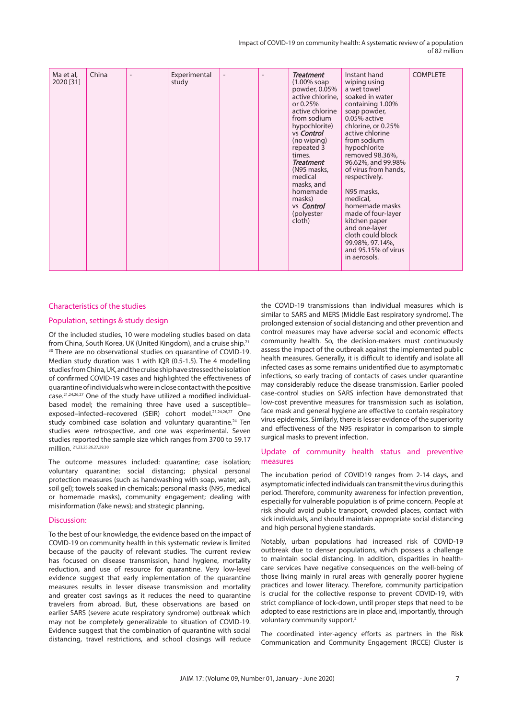Impact of COVID-19 on community health: A systematic review of a population of 82 million

| Ma et al,<br>2020 [31] | China |  | Experimental<br>study |  |  | <b>Treatment</b><br>(1.00% soap)<br>powder, 0.05%<br>active chlorine,<br>or 0.25%<br>active chlorine<br>from sodium<br>hypochlorite)<br>vs Control<br>(no wiping)<br>repeated 3<br>times.<br><b>Treatment</b><br>(N95 masks,<br>medical<br>masks, and<br>homemade<br>masks)<br>vs <b>Control</b><br>(polyester<br>cloth) | Instant hand<br>wiping using<br>a wet towel<br>soaked in water<br>containing 1.00%<br>soap powder,<br>0.05% active<br>chlorine, or 0.25%<br>active chlorine<br>from sodium<br>hypochlorite<br>removed 98.36%,<br>96.62%, and 99.98%<br>of virus from hands,<br>respectively.<br>N95 masks,<br>medical,<br>homemade masks<br>made of four-layer<br>kitchen paper<br>and one-layer<br>cloth could block<br>99.98%, 97.14%,<br>and 95.15% of virus<br>in aerosols. | <b>COMPLETE</b> |
|------------------------|-------|--|-----------------------|--|--|--------------------------------------------------------------------------------------------------------------------------------------------------------------------------------------------------------------------------------------------------------------------------------------------------------------------------|-----------------------------------------------------------------------------------------------------------------------------------------------------------------------------------------------------------------------------------------------------------------------------------------------------------------------------------------------------------------------------------------------------------------------------------------------------------------|-----------------|
|------------------------|-------|--|-----------------------|--|--|--------------------------------------------------------------------------------------------------------------------------------------------------------------------------------------------------------------------------------------------------------------------------------------------------------------------------|-----------------------------------------------------------------------------------------------------------------------------------------------------------------------------------------------------------------------------------------------------------------------------------------------------------------------------------------------------------------------------------------------------------------------------------------------------------------|-----------------|

# Characteristics of the studies

# Population, settings & study design

Of the included studies, 10 were modeling studies based on data from China, South Korea, UK (United Kingdom), and a cruise ship.21- <sup>30</sup> There are no observational studies on quarantine of COVID-19. Median study duration was 1 with IQR (0.5-1.5). The 4 modelling studies from China, UK, and the cruise ship have stressed the isolation of confirmed COVID‐19 cases and highlighted the effectiveness of quarantine of individuals who were in close contact with the positive case.21,24,26,27 One of the study have utilized a modified individual‐ based model; the remaining three have used a susceptible– exposed–infected–recovered (SEIR) cohort model.21,24,26,27 One study combined case isolation and voluntary quarantine.<sup>24</sup> Ten studies were retrospective, and one was experimental. Seven studies reported the sample size which ranges from 3700 to 59.17 million. 21,23,25,26,27,29,30

The outcome measures included: quarantine; case isolation; voluntary quarantine; social distancing; physical personal protection measures (such as handwashing with soap, water, ash, soil gel); towels soaked in chemicals; personal masks (N95, medical or homemade masks), community engagement; dealing with misinformation (fake news); and strategic planning.

#### Discussion:

To the best of our knowledge, the evidence based on the impact of COVID-19 on community health in this systematic review is limited because of the paucity of relevant studies. The current review has focused on disease transmission, hand hygiene, mortality reduction, and use of resource for quarantine. Very low-level evidence suggest that early implementation of the quarantine measures results in lesser disease transmission and mortality and greater cost savings as it reduces the need to quarantine travelers from abroad. But, these observations are based on earlier SARS (severe acute respiratory syndrome) outbreak which may not be completely generalizable to situation of COVID-19. Evidence suggest that the combination of quarantine with social distancing, travel restrictions, and school closings will reduce

the COVID-19 transmissions than individual measures which is similar to SARS and MERS (Middle East respiratory syndrome). The prolonged extension of social distancing and other prevention and control measures may have adverse social and economic effects community health. So, the decision-makers must continuously assess the impact of the outbreak against the implemented public health measures. Generally, it is difficult to identify and isolate all infected cases as some remains unidentified due to asymptomatic infections, so early tracing of contacts of cases under quarantine may considerably reduce the disease transmission. Earlier pooled case-control studies on SARS infection have demonstrated that low-cost preventive measures for transmission such as isolation, face mask and general hygiene are effective to contain respiratory virus epidemics. Similarly, there is lesser evidence of the superiority and effectiveness of the N95 respirator in comparison to simple surgical masks to prevent infection.

# Update of community health status and preventive measures

The incubation period of COVID19 ranges from 2-14 days, and asymptomatic infected individuals can transmit the virus during this period. Therefore, community awareness for infection prevention, especially for vulnerable population is of prime concern. People at risk should avoid public transport, crowded places, contact with sick individuals, and should maintain appropriate social distancing and high personal hygiene standards.

Notably, urban populations had increased risk of COVID-19 outbreak due to denser populations, which possess a challenge to maintain social distancing. In addition, disparities in healthcare services have negative consequences on the well-being of those living mainly in rural areas with generally poorer hygiene practices and lower literacy. Therefore, community participation is crucial for the collective response to prevent COVID-19, with strict compliance of lock-down, until proper steps that need to be adopted to ease restrictions are in place and, importantly, through voluntary community support.<sup>2</sup>

The coordinated inter-agency efforts as partners in the Risk Communication and Community Engagement (RCCE) Cluster is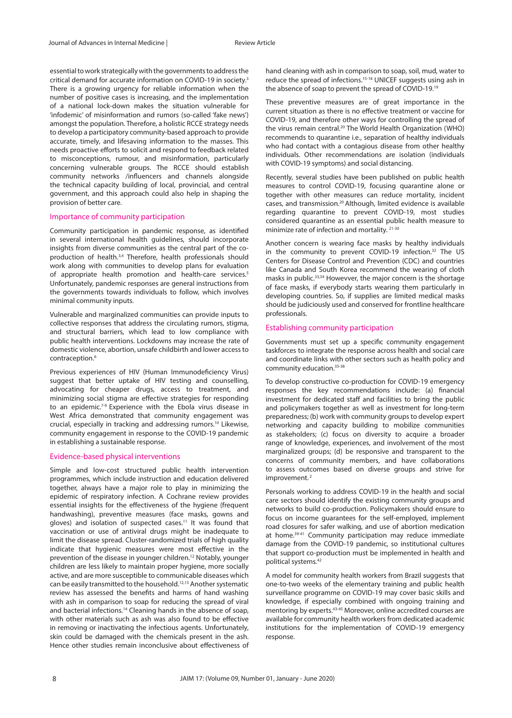essential to work strategically with the governments to address the critical demand for accurate information on COVID-19 in society.3 There is a growing urgency for reliable information when the number of positive cases is increasing, and the implementation of a national lock-down makes the situation vulnerable for 'infodemic' of misinformation and rumors (so-called 'fake news') amongst the population. Therefore, a holistic RCCE strategy needs to develop a participatory community-based approach to provide accurate, timely, and lifesaving information to the masses. This needs proactive efforts to solicit and respond to feedback related to misconceptions, rumour, and misinformation, particularly concerning vulnerable groups. The RCCE should establish community networks /influencers and channels alongside the technical capacity building of local, provincial, and central government, and this approach could also help in shaping the provision of better care.

#### Importance of community participation

Community participation in pandemic response, as identified in several international health guidelines, should incorporate insights from diverse communities as the central part of the coproduction of health.3,4 Therefore, health professionals should work along with communities to develop plans for evaluation of appropriate health promotion and health-care services.<sup>5</sup> Unfortunately, pandemic responses are general instructions from the governments towards individuals to follow, which involves minimal community inputs.

Vulnerable and marginalized communities can provide inputs to collective responses that address the circulating rumors, stigma, and structural barriers, which lead to low compliance with public health interventions. Lockdowns may increase the rate of domestic violence, abortion, unsafe childbirth and lower access to contraception.6

Previous experiences of HIV (Human Immunodeficiency Virus) suggest that better uptake of HIV testing and counselling, advocating for cheaper drugs, access to treatment, and minimizing social stigma are effective strategies for responding to an epidemic.<sup>7-9</sup> Experience with the Ebola virus disease in West Africa demonstrated that community engagement was crucial, especially in tracking and addressing rumors.<sup>10</sup> Likewise, community engagement in response to the COVID-19 pandemic in establishing a sustainable response.

#### Evidence-based physical interventions

Simple and low-cost structured public health intervention programmes, which include instruction and education delivered together, always have a major role to play in minimizing the epidemic of respiratory infection. A Cochrane review provides essential insights for the effectiveness of the hygiene (frequent handwashing), preventive measures (face masks, gowns and gloves) and isolation of suspected cases.11 It was found that vaccination or use of antiviral drugs might be inadequate to limit the disease spread. Cluster‐randomized trials of high quality indicate that hygienic measures were most effective in the prevention of the disease in younger children.12 Notably, younger children are less likely to maintain proper hygiene, more socially active, and are more susceptible to communicable diseases which can be easily transmitted to the household.12,13 Another systematic review has assessed the benefits and harms of hand washing with ash in comparison to soap for reducing the spread of viral and bacterial infections.14 Cleaning hands in the absence of soap, with other materials such as ash was also found to be effective in removing or inactivating the infectious agents. Unfortunately, skin could be damaged with the chemicals present in the ash. Hence other studies remain inconclusive about effectiveness of hand cleaning with ash in comparison to soap, soil, mud, water to reduce the spread of infections.15-18 UNICEF suggests using ash in the absence of soap to prevent the spread of COVID‐19.19

These preventive measures are of great importance in the current situation as there is no effective treatment or vaccine for COVID-19, and therefore other ways for controlling the spread of the virus remain central.<sup>20</sup> The World Health Organization (WHO) recommends to quarantine i.e., separation of healthy individuals who had contact with a contagious disease from other healthy individuals. Other recommendations are isolation (individuals with COVID‐19 symptoms) and social distancing.

Recently, several studies have been published on public health measures to control COVID‐19, focusing quarantine alone or together with other measures can reduce mortality, incident cases, and transmission.20 Although, limited evidence is available regarding quarantine to prevent COVID‐19, most studies considered quarantine as an essential public health measure to minimize rate of infection and mortality. 21-30

Another concern is wearing face masks by healthy individuals in the community to prevent COVID-19 infection.32 The US Centers for Disease Control and Prevention (CDC) and countries like Canada and South Korea recommend the wearing of cloth masks in public.33,34 Howevver, the major concern is the shortage of face masks, if everybody starts wearing them particularly in developing countries. So, if supplies are limited medical masks should be judiciously used and conserved for frontline healthcare professionals.

#### Establishing community participation

Governments must set up a specific community engagement taskforces to integrate the response across health and social care and coordinate links with other sectors such as health policy and community education.35-38

To develop constructive co-production for COVID-19 emergency responses the key recommendations include: (a) financial investment for dedicated staff and facilities to bring the public and policymakers together as well as investment for long-term preparedness; (b) work with community groups to develop expert networking and capacity building to mobilize communities as stakeholders; (c) focus on diversity to acquire a broader range of knowledge, experiences, and involvement of the most marginalized groups; (d) be responsive and transparent to the concerns of community members, and have collaborations to assess outcomes based on diverse groups and strive for improvement.<sup>2</sup>

Personals working to address COVID-19 in the health and social care sectors should identify the existing community groups and networks to build co-production. Policymakers should ensure to focus on income guarantees for the self-employed, implement road closures for safer walking, and use of abortion medication at home.<sup>39-41</sup> Community participation may reduce immediate damage from the COVID-19 pandemic, so institutional cultures that support co-production must be implemented in health and political systems.42

A model for community health workers from Brazil suggests that one-to-two weeks of the elementary training and public health surveillance programme on COVID-19 may cover basic skills and knowledge, if especially combined with ongoing training and mentoring by experts.43-45 Moreover, online accredited courses are available for community health workers from dedicated academic institutions for the implementation of COVID-19 emergency response.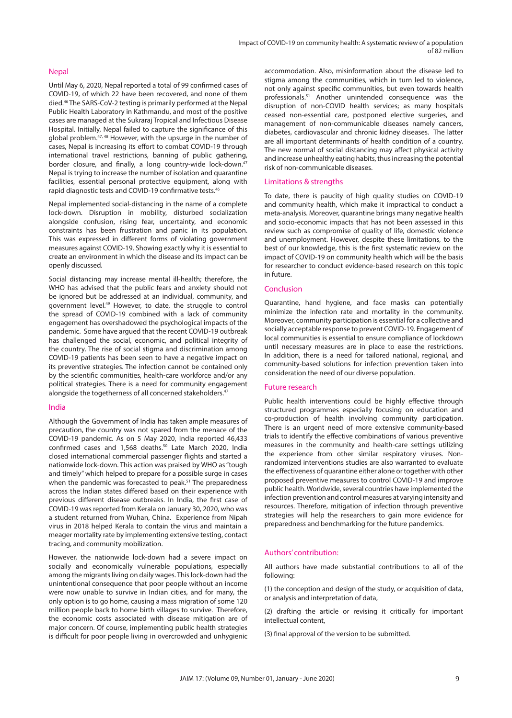#### **Nepal**

Until May 6, 2020, Nepal reported a total of 99 confirmed cases of COVID-19, of which 22 have been recovered, and none of them died.46 The SARS-CoV-2 testing is primarily performed at the Nepal Public Health Laboratory in Kathmandu, and most of the positive cases are managed at the Sukraraj Tropical and Infectious Disease Hospital. Initially, Nepal failed to capture the significance of this global problem.47, 48 However, with the upsurge in the number of cases, Nepal is increasing its effort to combat COVID-19 through international travel restrictions, banning of public gathering, border closure, and finally, a long country-wide lock-down.<sup>47</sup> Nepal is trying to increase the number of isolation and quarantine facilities, essential personal protective equipment, along with rapid diagnostic tests and COVID-19 confirmative tests.46

Nepal implemented social-distancing in the name of a complete lock-down. Disruption in mobility, disturbed socialization alongside confusion, rising fear, uncertainty, and economic constraints has been frustration and panic in its population. This was expressed in different forms of violating government measures against COVID-19. Showing exactly why it is essential to create an environment in which the disease and its impact can be openly discussed.

Social distancing may increase mental ill-health; therefore, the WHO has advised that the public fears and anxiety should not be ignored but be addressed at an individual, community, and government level.49 However, to date, the struggle to control the spread of COVID-19 combined with a lack of community engagement has overshadowed the psychological impacts of the pandemic. Some have argued that the recent COVID-19 outbreak has challenged the social, economic, and political integrity of the country. The rise of social stigma and discrimination among COVID-19 patients has been seen to have a negative impact on its preventive strategies. The infection cannot be contained only by the scientific communities, health-care workforce and/or any political strategies. There is a need for community engagement alongside the togetherness of all concerned stakeholders.<sup>47</sup>

### India

Although the Government of India has taken ample measures of precaution, the country was not spared from the menace of the COVID-19 pandemic. As on 5 May 2020, India reported 46,433 confirmed cases and 1,568 deaths.50 Late March 2020, India closed international commercial passenger flights and started a nationwide lock-down. This action was praised by WHO as "tough and timely" which helped to prepare for a possible surge in cases when the pandemic was forecasted to peak.<sup>51</sup> The preparedness across the Indian states differed based on their experience with previous different disease outbreaks. In India, the first case of COVID-19 was reported from Kerala on January 30, 2020, who was a student returned from Wuhan, China. Experience from Nipah virus in 2018 helped Kerala to contain the virus and maintain a meager mortality rate by implementing extensive testing, contact tracing, and community mobilization.

However, the nationwide lock-down had a severe impact on socially and economically vulnerable populations, especially among the migrants living on daily wages. This lock-down had the unintentional consequence that poor people without an income were now unable to survive in Indian cities, and for many, the only option is to go home, causing a mass migration of some 120 million people back to home birth villages to survive. Therefore, the economic costs associated with disease mitigation are of major concern. Of course, implementing public health strategies is difficult for poor people living in overcrowded and unhygienic accommodation. Also, misinformation about the disease led to stigma among the communities, which in turn led to violence, not only against specific communities, but even towards health professionals.51 Another unintended consequence was the disruption of non-COVID health services; as many hospitals ceased non-essential care, postponed elective surgeries, and management of non-communicable diseases namely cancers, diabetes, cardiovascular and chronic kidney diseases. The latter are all important determinants of health condition of a country. The new normal of social distancing may affect physical activity and increase unhealthy eating habits, thus increasing the potential risk of non-communicable diseases.

### Limitations & strengths

To date, there is paucity of high quality studies on COVID-19 and community health, which make it impractical to conduct a meta-analysis. Moreover, quarantine brings many negative health and socio-economic impacts that has not been assessed in this review such as compromise of quality of life, domestic violence and unemployment. However, despite these limitations, to the best of our knowledge, this is the first systematic review on the impact of COVID-19 on community health which will be the basis for researcher to conduct evidence-based research on this topic in future.

#### Conclusion

Quarantine, hand hygiene, and face masks can potentially minimize the infection rate and mortality in the community. Moreover, community participation is essential for a collective and socially acceptable response to prevent COVID-19. Engagement of local communities is essential to ensure compliance of lockdown until necessary measures are in place to ease the restrictions. In addition, there is a need for tailored national, regional, and community-based solutions for infection prevention taken into consideration the need of our diverse population.

### Future research

Public health interventions could be highly effective through structured programmes especially focusing on education and co-production of health involving community participation. There is an urgent need of more extensive community-based trials to identify the effective combinations of various preventive measures in the community and health-care settings utilizing the experience from other similar respiratory viruses. Nonrandomized interventions studies are also warranted to evaluate the effectiveness of quarantine either alone or together with other proposed preventive measures to control COVID-19 and improve public health. Worldwide, several countries have implemented the infection prevention and control measures at varying intensity and resources. Therefore, mitigation of infection through preventive strategies will help the researchers to gain more evidence for preparedness and benchmarking for the future pandemics.

# Authors' contribution:

All authors have made substantial contributions to all of the following:

(1) the conception and design of the study, or acquisition of data, or analysis and interpretation of data,

(2) drafting the article or revising it critically for important intellectual content,

(3) final approval of the version to be submitted.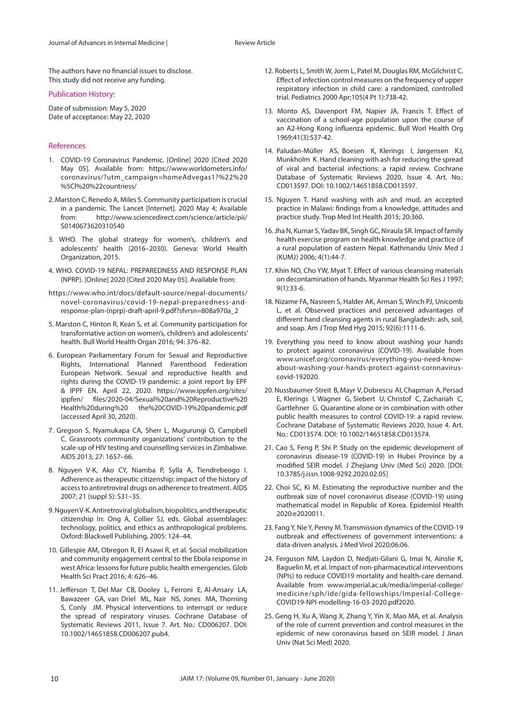The authors have no financial issues to disclose. This study did not receive any funding.

#### Publication History:

Date of submission: May 5, 2020 Date of acceptance: May 22, 2020

#### References

- 1. COVID-19 Coronavirus Pandemic. [Online] 2020 [Cited 2020 May 05]. Available from: https://www.worldometers.info/ coronavirus/?utm\_campaign=homeAdvegas1?%22%20 %5Cl%20%22countriess/
- 2. Marston C, Renedo A, Miles S. Community participation is crucial in a pandemic. The Lancet [Internet]. 2020 May 4; Available from: http://www.sciencedirect.com/science/article/pii/ S0140673620310540
- 3. WHO. The global strategy for women's, children's and adolescents' health (2016–2030). Geneva: World Health Organization, 2015.
- 4. WHO. COVID-19 NEPAL: PREPAREDNESS AND RESPONSE PLAN (NPRP). [Online] 2020 [Cited 2020 May 05]. Available from:
- https://www.who.int/docs/default-source/nepal-documents/ novel-coronavirus/covid-19-nepal-preparedness-andresponse-plan-(nprp)-draft-april-9.pdf?sfvrsn=808a970a\_2
- 5. Marston C, Hinton R, Kean S, et al. Community participation for transformative action on women's, children's and adolescents' health. Bull World Health Organ 2016; 94: 376–82.
- 6. European Parliamentary Forum for Sexual and Reproductive Rights, International Planned Parenthood Federation European Network. Sexual and reproductive health and rights during the COVID-19 pandemic: a joint report by EPF & IPPF EN. April 22, 2020. https://www.ippfen.org/sites/ ippfen/ files/2020-04/Sexual%20and%20Reproductive%20 Health%20during%20 the%20COVID-19%20pandemic.pdf (accessed April 30, 2020).
- 7. Gregson S, Nyamukapa CA, Sherr L, Mugurungi O, Campbell C. Grassroots community organizations' contribution to the scale-up of HIV testing and counselling services in Zimbabwe. AIDS 2013; 27: 1657–66.
- 8. Nguyen V-K, Ako CY, Niamba P, Sylla A, Tiendrebeogo I. Adherence as therapeutic citizenship: impact of the history of access to antiretroviral drugs on adherence to treatment. AIDS 2007; 21 (suppl 5): S31–35.
- 9. Nguyen V-K. Antiretroviral globalism, biopolitics, and therapeutic citizenship In: Ong A, Collier SJ, eds. Global assemblages: technology, politics, and ethics as anthropological problems. Oxford: Blackwell Publishing, 2005: 124–44.
- 10. Gillespie AM, Obregon R, El Asawi R, et al. Social mobilization and community engagement central to the Ebola response in west Africa: lessons for future public health emergencies. Glob Health Sci Pract 2016; 4: 626–46.
- 11. Jefferson T, Del Mar CB, Dooley L, Ferroni E, Al‐Ansary LA, Bawazeer GA, van Driel ML, Nair NS, Jones MA, Thorning S, Conly JM. Physical interventions to interrupt or reduce the spread of respiratory viruses. Cochrane Database of Systematic Reviews 2011, Issue 7. Art. No.: CD006207. DOI: 10.1002/14651858.CD006207.pub4.
- 12. Roberts L, Smith W, Jorm L, Patel M, Douglas RM, McGilchrist C. Effect of infection control measures on the frequency of upper respiratory infection in child care: a randomized, controlled trial. Pediatrics 2000 Apr;105(4 Pt 1):738-42.
- 13. Monto AS, Davenport FM, Napier JA, Francis T. Effect of vaccination of a school‐age population upon the course of an A2‐Hong Kong influenza epidemic. Bull Worl Health Org 1969;41(3):537‐42.
- 14. Paludan-Müller AS, Boesen K, Klerings I, Jørgensen KJ, Munkholm K. Hand cleaning with ash for reducing the spread of viral and bacterial infections: a rapid review. Cochrane Database of Systematic Reviews 2020, Issue 4. Art. No.: CD013597. DOI: 10.1002/14651858.CD013597.
- 15. Nguyen T. Hand washing with ash and mud, an accepted practice in Malawi: findings from a knowledge, attitudes and practice study. Trop Med Int Health 2015; 20:360.
- 16. Jha N, Kumar S, Yadav BK, Singh GC, Niraula SR. Impact of family health exercise program on health knowledge and practice of a rural population of eastern Nepal. Kathmandu Univ Med J (KUMJ) 2006; 4(1):44-7.
- 17. Khin NO, Cho YW, Myat T. Effect of various cleansing materials on decontamination of hands. Myanmar Health Sci Res J 1997; 9(1):33-6.
- 18. Nizame FA, Nasreen S, Halder AK, Arman S, Winch PJ, Unicomb L, et al. Observed practices and perceived advantages of different hand cleansing agents in rural Bangladesh: ash, soil, and soap. Am J Trop Med Hyg 2015; 92(6):1111-6.
- 19. Everything you need to know about washing your hands to protect against coronavirus (COVID-19). Available from www.unicef.org/coronavirus/everything-you-need-knowabout-washing-your-hands-protect-against-coronaviruscovid-192020.
- 20. Nussbaumer‐Streit B, Mayr V, Dobrescu AI, Chapman A, Persad E, Klerings I, Wagner G, Siebert U, Christof C, Zachariah C, Gartlehner G. Quarantine alone or in combination with other public health measures to control COVID‐19: a rapid review. Cochrane Database of Systematic Reviews 2020, Issue 4. Art. No.: CD013574. DOI: 10.1002/14651858.CD013574.
- 21. Cao S, Feng P, Shi P. Study on the epidemic development of coronavirus disease‐19 (COVID‐19) in Hubei Province by a modified SEIR model. J Zhejiang Univ (Med Sci) 2020. [DOI: 10.3785/j.issn.1008‐9292.2020.02.05]
- 22. Choi SC, Ki M. Estimating the reproductive number and the outbreak size of novel coronavirus disease (COVID‐19) using mathematical model in Republic of Korea. Epidemiol Health 2020:e2020011.
- 23. Fang Y, Nie Y, Penny M. Transmission dynamics of the COVID‐19 outbreak and effectiveness of government interventions: a data‐driven analysis. J Med Virol 2020;06:06.
- 24. Ferguson NM, Laydon D, Nedjati‐Gilani G, Imai N, Ainslie K, Baguelin M, et al. Impact of non‐pharmaceutical interventions (NPIs) to reduce COVID19 mortality and health-care demand. Available from www.imperial.ac.uk/media/imperial‐college/ medicine/sph/ide/gida‐fellowships/Imperial‐College‐ COVID19‐NPI‐modelling‐16‐03‐2020.pdf2020.
- 25. Geng H, Xu A, Wang X, Zhang Y, Yin X, Mao MA, et al. Analysis of the role of current prevention and control measures in the epidemic of new coronavirus based on SEIR model. J Jinan Univ (Nat Sci Med) 2020.